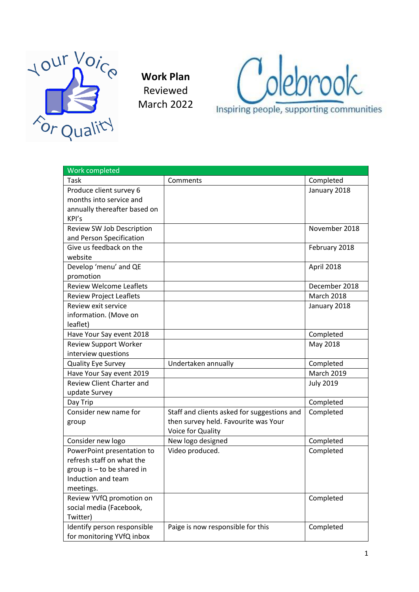

**Work Plan** Reviewed March 2022



| Work completed                   |                                             |                   |
|----------------------------------|---------------------------------------------|-------------------|
| Task                             | Comments                                    | Completed         |
| Produce client survey 6          |                                             | January 2018      |
| months into service and          |                                             |                   |
| annually thereafter based on     |                                             |                   |
| KPI's                            |                                             |                   |
| Review SW Job Description        |                                             | November 2018     |
| and Person Specification         |                                             |                   |
| Give us feedback on the          |                                             | February 2018     |
| website                          |                                             |                   |
| Develop 'menu' and QE            |                                             | April 2018        |
| promotion                        |                                             |                   |
| <b>Review Welcome Leaflets</b>   |                                             | December 2018     |
| <b>Review Project Leaflets</b>   |                                             | March 2018        |
| Review exit service              |                                             | January 2018      |
| information. (Move on            |                                             |                   |
| leaflet)                         |                                             |                   |
| Have Your Say event 2018         |                                             | Completed         |
| <b>Review Support Worker</b>     |                                             | May 2018          |
| interview questions              |                                             |                   |
| <b>Quality Eye Survey</b>        | Undertaken annually                         | Completed         |
| Have Your Say event 2019         |                                             | <b>March 2019</b> |
| <b>Review Client Charter and</b> |                                             | <b>July 2019</b>  |
| update Survey                    |                                             |                   |
| Day Trip                         |                                             | Completed         |
| Consider new name for            | Staff and clients asked for suggestions and | Completed         |
| group                            | then survey held. Favourite was Your        |                   |
|                                  | Voice for Quality                           |                   |
| Consider new logo                | New logo designed                           | Completed         |
| PowerPoint presentation to       | Video produced.                             | Completed         |
| refresh staff on what the        |                                             |                   |
| group is - to be shared in       |                                             |                   |
| Induction and team               |                                             |                   |
| meetings.                        |                                             |                   |
| Review YVfQ promotion on         |                                             | Completed         |
| social media (Facebook,          |                                             |                   |
| Twitter)                         |                                             |                   |
| Identify person responsible      | Paige is now responsible for this           | Completed         |
| for monitoring YVfQ inbox        |                                             |                   |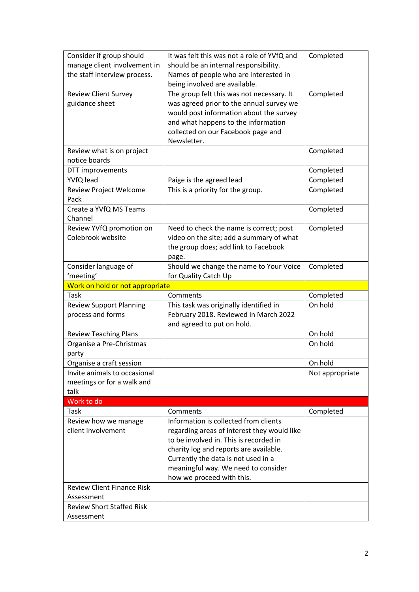| Consider if group should          | It was felt this was not a role of YVfQ and                               | Completed       |
|-----------------------------------|---------------------------------------------------------------------------|-----------------|
| manage client involvement in      | should be an internal responsibility.                                     |                 |
| the staff interview process.      | Names of people who are interested in                                     |                 |
|                                   | being involved are available.                                             |                 |
| <b>Review Client Survey</b>       | The group felt this was not necessary. It                                 | Completed       |
| guidance sheet                    | was agreed prior to the annual survey we                                  |                 |
|                                   | would post information about the survey                                   |                 |
|                                   | and what happens to the information<br>collected on our Facebook page and |                 |
|                                   | Newsletter.                                                               |                 |
| Review what is on project         |                                                                           | Completed       |
| notice boards                     |                                                                           |                 |
| DTT improvements                  |                                                                           | Completed       |
| YVfQ lead                         | Paige is the agreed lead                                                  | Completed       |
| Review Project Welcome            | This is a priority for the group.                                         | Completed       |
| Pack                              |                                                                           |                 |
| Create a YVfQ MS Teams            |                                                                           | Completed       |
| Channel                           |                                                                           |                 |
| Review YVfQ promotion on          | Need to check the name is correct; post                                   | Completed       |
| Colebrook website                 | video on the site; add a summary of what                                  |                 |
|                                   | the group does; add link to Facebook                                      |                 |
|                                   | page.                                                                     |                 |
| Consider language of              | Should we change the name to Your Voice                                   | Completed       |
| 'meeting'                         | for Quality Catch Up                                                      |                 |
| Work on hold or not appropriate   |                                                                           |                 |
|                                   |                                                                           |                 |
| Task                              | Comments                                                                  | Completed       |
| <b>Review Support Planning</b>    | This task was originally identified in                                    | On hold         |
| process and forms                 | February 2018. Reviewed in March 2022                                     |                 |
|                                   | and agreed to put on hold.                                                |                 |
| <b>Review Teaching Plans</b>      |                                                                           | On hold         |
| Organise a Pre-Christmas          |                                                                           | On hold         |
| party                             |                                                                           |                 |
| Organise a craft session          |                                                                           | On hold         |
| Invite animals to occasional      |                                                                           | Not appropriate |
| meetings or for a walk and        |                                                                           |                 |
| talk                              |                                                                           |                 |
| Work to do                        |                                                                           |                 |
| Task                              | Comments                                                                  | Completed       |
| Review how we manage              | Information is collected from clients                                     |                 |
| client involvement                | regarding areas of interest they would like                               |                 |
|                                   | to be involved in. This is recorded in                                    |                 |
|                                   | charity log and reports are available.                                    |                 |
|                                   | Currently the data is not used in a                                       |                 |
|                                   | meaningful way. We need to consider                                       |                 |
| <b>Review Client Finance Risk</b> | how we proceed with this.                                                 |                 |
| Assessment                        |                                                                           |                 |
| <b>Review Short Staffed Risk</b>  |                                                                           |                 |